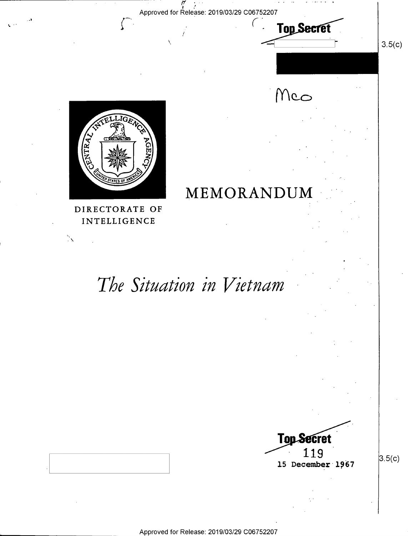Approved for Release: 2019/03/29 C06752207

i/\_y .,..

``



'

DIRECTORATE OF INTELLIGENCE

 $\mathbb{Z}^2$ 

# The Situation in Vietnam

**MEMORANDUM** 



.. .. -..~\_.,

Top Secret

 $M$ co

' '

 $3.5(c)$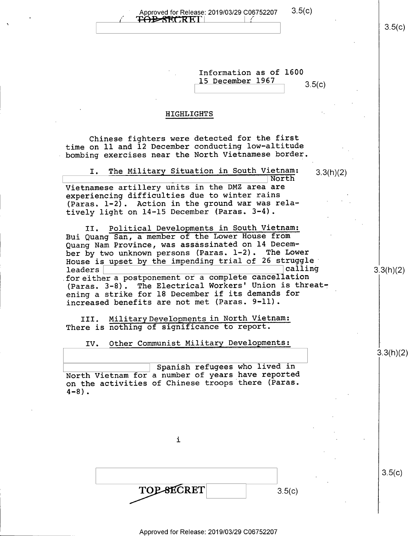Approved for Release: 2019/03/29  $C$ 06752207 3.5(c)<br>
TOBSECRET|

 $3.5(c)$ 

| Information as of 1600<br>15 December 1967<br>3.5(c)                                                                                                                                                                                                                                                                                                                                                                                                                                                                                                                                                                                                                                                                                                                                                                                                                                                                                                                                                         |           |
|--------------------------------------------------------------------------------------------------------------------------------------------------------------------------------------------------------------------------------------------------------------------------------------------------------------------------------------------------------------------------------------------------------------------------------------------------------------------------------------------------------------------------------------------------------------------------------------------------------------------------------------------------------------------------------------------------------------------------------------------------------------------------------------------------------------------------------------------------------------------------------------------------------------------------------------------------------------------------------------------------------------|-----------|
| HIGHLIGHTS                                                                                                                                                                                                                                                                                                                                                                                                                                                                                                                                                                                                                                                                                                                                                                                                                                                                                                                                                                                                   |           |
| Chinese fighters were detected for the first<br>time on 11 and 12 December conducting low-altitude<br>bombing exercises near the North Vietnamese border.<br>The Military Situation in South Vietnam:<br>I.<br>3.3(h)(2)<br>North<br>Vietnamese artillery units in the DMZ area are<br>experiencing difficulties due to winter rains<br>(Paras. 1-2). Action in the ground war was rela-<br>tively light on 14-15 December (Paras. 3-4).<br>II. Political Developments in South Vietnam:<br>Bui Quang San, a member of the Lower House from<br>Quang Nam Province, was assassinated on 14 Decem-<br>ber by two unknown persons (Paras. 1-2). The Lower<br>House is upset by the impending trial of 26 struggle<br>calling<br>leaders<br>for either a postponement or a complete cancellation<br>(Paras. 3-8). The Electrical Workers' Union is threat-<br>ening a strike for 18 December if its demands for<br>increased benefits are not met (Paras. 9-11).<br>III. Military Developments in North Vietnam: | 3.3(h)(2) |
| There is nothing of significance to report.<br>Other Communist Military Developments:<br>IV.                                                                                                                                                                                                                                                                                                                                                                                                                                                                                                                                                                                                                                                                                                                                                                                                                                                                                                                 |           |
|                                                                                                                                                                                                                                                                                                                                                                                                                                                                                                                                                                                                                                                                                                                                                                                                                                                                                                                                                                                                              | 3.3(h)(2) |
| Spanish refugees who lived in<br>North Vietnam for a number of years have reported<br>on the activities of Chinese troops there (Paras.<br>$4 - 8$ ).                                                                                                                                                                                                                                                                                                                                                                                                                                                                                                                                                                                                                                                                                                                                                                                                                                                        |           |
| i                                                                                                                                                                                                                                                                                                                                                                                                                                                                                                                                                                                                                                                                                                                                                                                                                                                                                                                                                                                                            |           |

 $\bar{\mathbf{x}}$ 

 $\bar{\mathcal{A}}$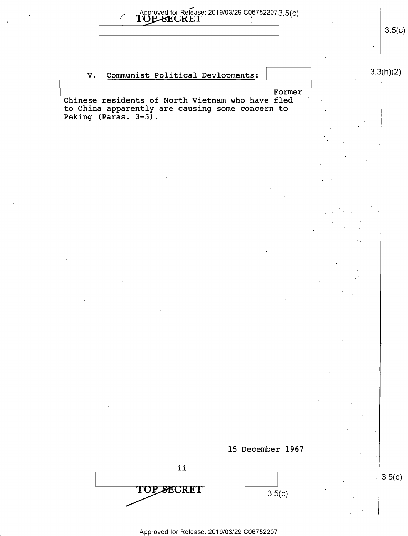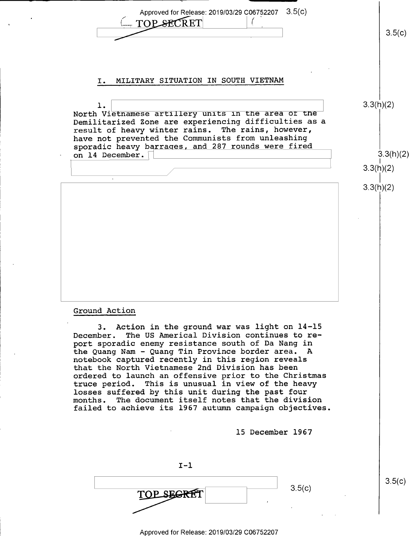Approved for Release: 2019/03/29 C06752207 3.5(c)<br>
<u>C TOP SECRET</u> (2019/03/29 C06752207 3.5(c)<br>
3.5(c) Approved for Release: 2019/03/29 C06752207 3.5(c) . TOP SECRET Ļ. I. MILITARY SITUATION IN SOUTH VIETNAM 3.3(h)(2)  $\mathbf 1$ . North Vietnamese artillery units in the area or the Demilitarized Zone are experiencing difficulties as a result of heavy winter rains. The rains, however, have not prevented the Communists from unleashing sporadic heavy barraqes, and 287 rounds were fired on 14 December.  $\Box$  3.3(h)(2)  $\overline{\hspace{1.6cm}}$   $3.3(n)(2)$ 3.3(h)(2) Ground Action 3. Action in the ground war was light on 14-15 December. The US Americal Division continues to report sporadic enemy resistance south of Da Nang in the Quang Nam - Quang Tin Province border area. A notebook captured recently in this region reveals that the North Vietnamese 2nd Division has been ordered to launch an offensive prior to the Christmas truce period. This is unusual in view of the heavy<br>losses suffered by this unit during the past four months. The document itself notes that the division failed to achieve its 1967 autumn campaign objectiv<mark>es.</mark> 15 December 1967 I-1  $3.5(c)$  $\overline{TOP$  segret  $\overline{ST}$   $3.5(c)$ 

Approved for Release: 2019/03/29 C06752207

l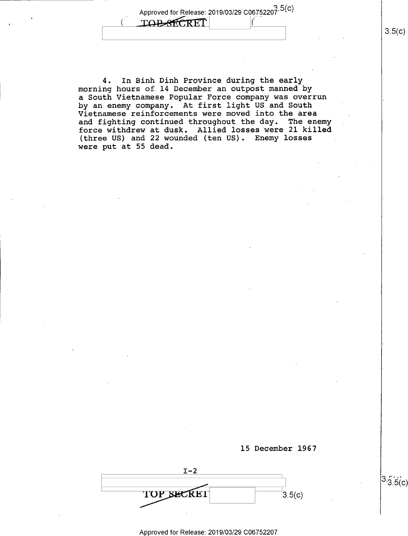Approved for Release: 2019/03/29 C06752207.5(C) **TOP-SECRET** 

4. In Binh Dinh Province during the early morning hours of.l4 December an outpost manned by a South Vietnamese Popular Force company was overrun by an enemy company. At first light US and South Vietnamese reinforcements were moved into the area and fighting continued throughout the day. The enemy force withdrew at dusk. Allied losses were 21 killed (three US) and 22 wounded (ten US). Enemy losses were put at 55 dead.



 $I-2$  $\frac{3.5(c)}{c}$ 

\_ Approved for Release: 2019/03/29 C06752207

 $3.5(c)$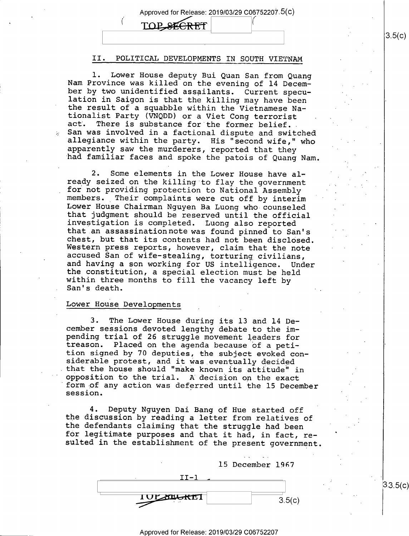#### Approved for Release: 2019/03/29 C06752207.5(C)

TOP SEE

### II. POLITICAL DEVELOPMENTS IN SOUTH VIETNAM

1. Lower House deputy Bui Quan San from Quang<br>Nam Province was killed on the evening of 14 Decem-<br>ber by two unidentified assailants. Current specu-<br>lation in Saigon is that the killing may have been<br>the result of a squabb apparently saw the murderers, reported that they had familiar faces and spoke the patois of Quang Nam.

2. Some elements in the Lower House have al-<br>ready seized on the killing to flay the government for not providing protection to National Assembly<br>members. Their complaints were cut off by interim<br>Lower House Chairman Nguyen Ba Luong who counseled<br>that judgment should be reserved until the official<br>investigation is co Western press reports, however, claim that the note<br>accused San of wife-stealing, torturing civilians,<br>and having a son working for US intelligence. Under<br>the constitution, a special election must be held<br>within three mont

#### Lower House Developments

3. The Lower House during its 13 and 14 De-<br>cember sessions devoted lengthy debate to the imcember sessions devoted lengthy debate to the im-<br>pending trial of 26 struggle movement leaders for<br>treason. Placed on the agenda because of a peti-<br>tion signed by 70 deputies, the subject evoked con<br>siderable protest, and opposition to the trial. A decision on the exact<br>form of any action was deferred until the 15 Decem<br>session. n. that the house should "make known its attitude" in opposition to the trial. A decision on the exact mber

4. Deputy Nguyen Dai Bang of Hue started off<br>the discussion by reading a letter from relatives of<br>the defendants claiming that the struggle had been<br>for legitimate purposes and that it had, in fact, r<br>sulted in the establi Deputy Nguyen Dai Bang of Hue started off the discussion by reading a letter from relatives of the defendants claiming that the struggle had been resulted in the establishment of the present government.



 $3.3.5(c)$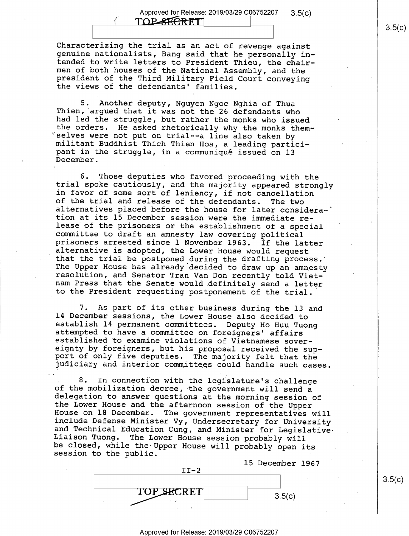$\overline{ }$ 

Characterizing the trial as an act of revenge against<br>genuine nationalists, Bang said that he personally in-<br>tended to write letters to President Thieu, the chairmen of both houses of the National Assembly, and the president of the Third Military Field Court conveying the views of the defendants' families.

5. Another deputy, Nguyen Ngoc Nghia of Thua<br>Thien, argued that it was not the 26 defendants who<br>had led the struggle, but rather the monks who issued<br>the orders. He asked rhetorically why the monks them-<br>selves were not p pant in the struggle, in a communiqué issued on l3 December.

6. Those deputies who favored proceeding with the trial spoke cautiously, and the majority appeared strongly in favor of some sort of leniency, if not cancellation alternatives placed before the house for later considera-<br>tion at its 15 December session were the immediate release of the prisoners or the establishment of a special<br>committee to draft an amnesty law covering political<br>prisoners arrested since l November 1963. If the latter<br>alternative is adopted, the Lower House would request<br>th resolution, and Senator Tran Van Don recently told Viet-<br>nam Press that the Senate would definitely send a letter<br>to the President requesting postponement of the trial.

7. As part of its other business during the 13 and 14 December sessions, the Lower House also decided to establish 14 permanent committees. Deputy Ho Huu Tuong<br>attempted to have a committee on foreigners' affairs<br>established to examine violations of Vietnamese sover-<br>eignty by foreigners, but his proposal received the sup-<br>po

8. In connection with the legislature's challenge<br>of the mobilization decree, the government will send a<br>delegation to answer questions at the morning session of<br>the Lower House and the afternoon session of the Upper<br>House

15 December 1967<br>TI-2  $\sqrt{II-2}$ **TOP SECRET**  $3.5(c)$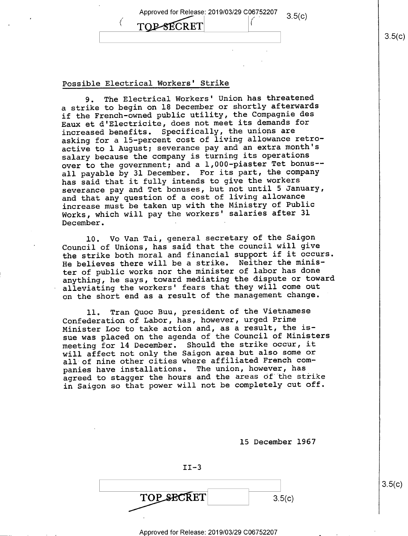Approved for Release: 2019/03/29 C06752207 **TOP-SECRET**  $3.5(c)$  $\vert$  s.5(c)

#### Possible Electrical Workers' Strike

9. The Electrical Workers' Union has threatened <sup>a</sup>strike to begin on l8 December or shortly afterwards if the French-owned public utility, the Compagnie des Eaux et d'Electricite, does not meet its demands for increased benefits. Specifically, the unions are asking for a l5-percent cost of living allowance retroactive to 1 August; severance pay and an extra month's salary because the company is turning its operations over to the government; and a 1,000-piaster Tet bonus— all payable by 31 December. For its part, the company has said that it fully intends to give the workers severance pay and Tet bonuses, but not until 5 January, and that any question of a cost of living allowance increase must be taken up with the Ministry of Public Works, which will pay the workers' salaries after 31 December.

l0. V0 Van Tai, general secretary of the Saigon Council of Unions, has said that the council will give the strike both moral and financial support if it occurs. He believes there will be a strike. Neither the minister of public works nor the minister of labor has done anything, he says, toward mediating the dispute or toward alleviating the workers' fears that they will come out on the short end as a result of the management change.

ll. Tran Quoc Buu, president of the Vietnamese Confederation of Labor, has, however, urged Prime Minister Loc to take action and, as a result, the issue was placed on the agenda of the Council of Ministers meeting for l4 December. Should the strike occur, it will affect not only the Saigon area but also some or all of nine other cities where affiliated French companies have installations. The union, however, has agreed to stagger the hours and the areas of the strike in Saigon so that power will not be completely cut off.

l5 December 1967

 $II-3$ TOP\_SECRET  $3.5(c)$ 

 $3.5(c)$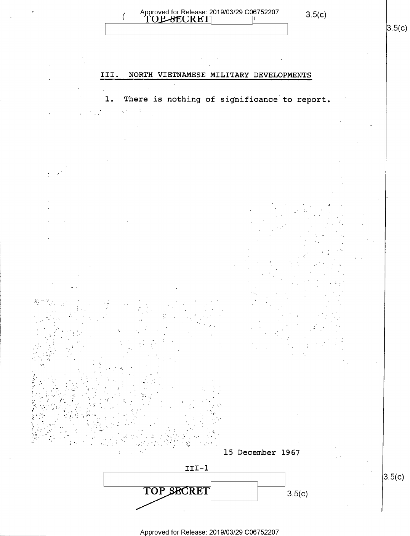



 $3.5(c)$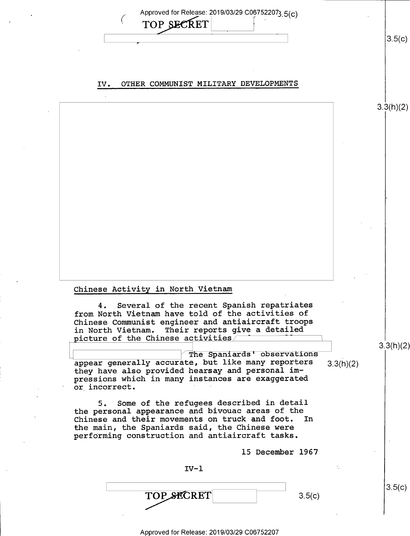Approved for Release: 2019/03/29 C067522073 5(c) TOP SECRET  $\mathbf{r}$  $3.5(c)$ ,

3.3(h)(2)

3.3(h)(2)

 $3.5(c)$ 

#### IV. OTHER COMMUNIST MILITARY DEVELOPMENTS

#### Chinese Activity in North Vietnam

4. Several of the recent Spanish repatriates from North Vietnam have told of the activities of Chinese Communist engineer and antiaircraft troops in North Vietnam. Their reports give a detailed picture of the Chinese activities/

 $\fbox{\parbox{1.5cm} \begin{tabular}{l} \multicolumn{1}{l} {\textbf{The Spaniards'}}\textbf{ observed} & \multicolumn{1}{l}{\textbf{The Spaniards'}}\textbf{observations} \\ \multicolumn{1}{l}{ \textbf{a}ppear generally accurate, but like many reporters} \end{tabular} }$ appear generally accurate, but like many reporters  $3.3(h)(2)$  they have also provided hearsay and personal impressions which in many instances are exaggerated or incorrect.

5. Some of the refugees described in detail the personal appearance and bivouac areas of the<br>Chinese and their movements on truck and foot. In Chinese and their movements on truck and foot. the main, the Spaniards said, the Chinese were performing construction and antiaircraft tasks.

15 December 1967

 $IV-1$  $\text{TOP}\text{ } \mathcal{L} \text{ CRET}$  3.5(c)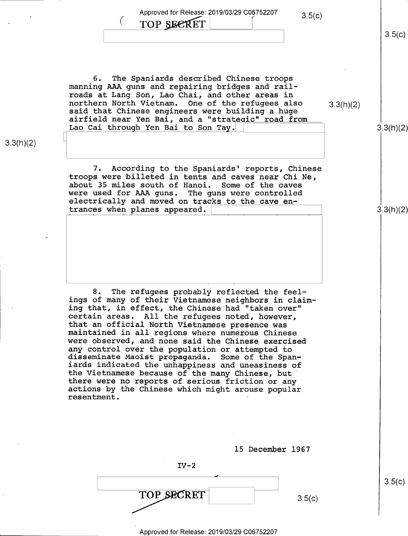Approved for Release: 2019/03/29 C06752207 3.5(c)

## TOP SECRET

 $3.5(c)$ 

3.3(h)(2)

3.3(h)(2)

6. The Spaniards described Chinese troops manning AAA guns and repairing bridges and railroads at Lang Son, Lao Chai, and other areas in northern North Vietnam. One of the refugees also  $3.3(h)(2)$  said that Chinese engineers were building a huge airfield near Yen Bai, and a "strategic" road from Lao Cai through Yen Bai to Son Tay

3.3(h)(2)

7. According to the Spaniards' reports, Chinese troops were billeted in tents and caves near Chi Ne, about 35 miles south of Hanoi. Some of the caves were used for AAA guns. The guns were controlled electrically and moved on tracks to the cave entrances when planes appeared. \

8. The refugees probably reflected the feelings of many of their Vietnamese neighbors in claiming that, in effect, the Chinese had "taken over"<br>certain areas. All the refugees noted, however, that an official North Vietnamese presence was<br>maintained in all regions where numerous Chinese<br>were observed, and none said the Chinese exercised<br>any control over the population or attempted to disseminate Maoist propaganda. Some of the Spaniards indicated the unhappiness and uneasiness of<br>the Vietnamese because of the many Chinese, but<br>there were no reports of serious friction or any actions by the Chinese which might arouse popular resentment.

l5 December 1967

 $IV-2$  $\overline{\phantom{0}}$ TOP SECRET  $3.5(c)$ 

 $3.5(c)$ 

Approved for Release: 2019/03/29 C06752207

 $\overline{\phantom{0}}$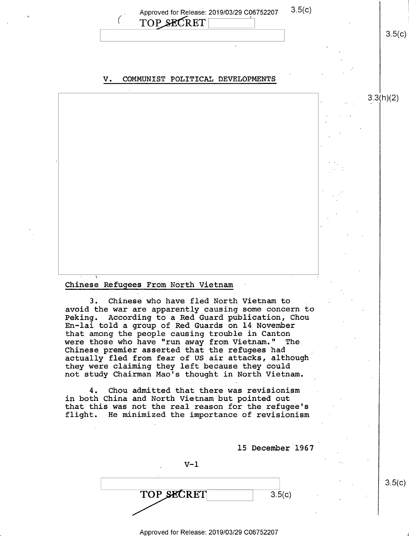Approved for Release: 2019/03/29 C06752207 3.5(C) TOP SECRET

#### V. COMMUNIST POLITICAL DEVELOPMENTS

#### Chinese Refugees From North Vietnam

3. Chinese who have fled North Vietnam to avoid the war are apparently causing some concern to Peking. According to a Red Guard publication, Chou En-lai told a group of Red Guards on 14 November that among the people causing trouble in Canton were those who have "run away from Vietnam." The Chinese premier asserted that the refugees had actually fled from fear of US air attacks, although they were claiming they left because they could not study Chairman Mao's thought in North Vietnam.

4. Chou admitted that there was revisionism in both China and North Vietnam but pointed out that this was not the real reason for the refugee's flight. He minimized the importance of revisionism

l5 December 1967

 $\text{TOP}$  secrets  $\vert$  3.5(c)

 $V-1$ 

 $3.5(c)$ 

 $3.5(c)$ 

3.3(h)(2)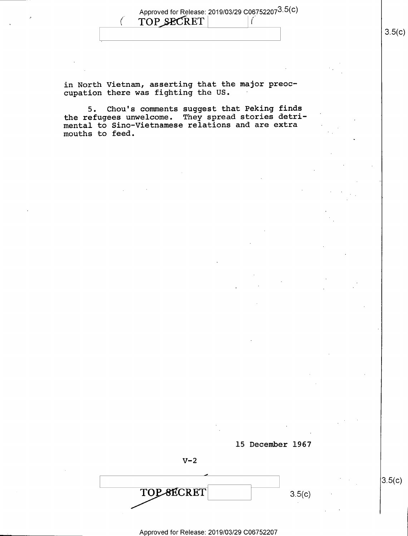(. Approved for Release: 2019/03/29 C067522073.5(c) TOP SECRET | (

in North Vietnam, asserting that the major preoc- $\sub{cupation}$  there was fighting the US.

5. Chou's comments suggest that Peking finds the refugees unwelcome. They spread stories detrimental to Sino-Vietnamese relations and are extra mouths to feed



 $V-2$ 

 $\overline{\phantom{0}}$  $TOP-8ECRET$  3.5(c)

Approved for Release: 2019/03/29 C06752207